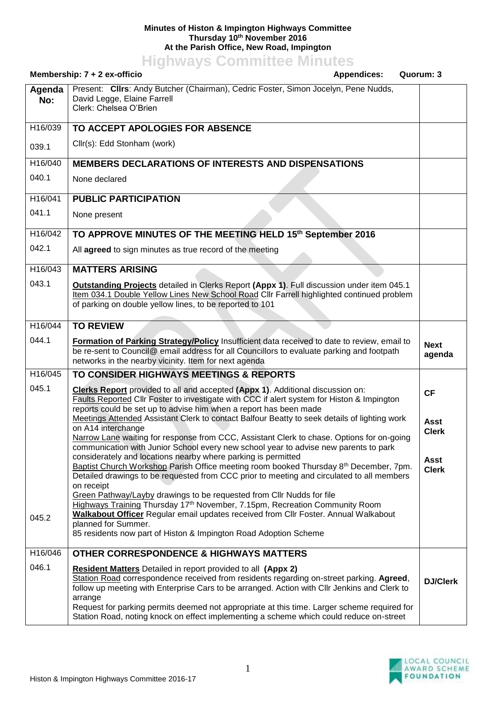## **Minutes of Histon & Impington Highways Committee Thursday 10th November 2016 At the Parish Office, New Road, Impington**

**Highways Committee Minutes**

|                | Membership: 7 + 2 ex-officio<br><b>Appendices:</b>                                                                                                                                                                                                                                                                                                                                                                                                                                                                                                                                                                                                                                                                                                                                                                                                                                                                                                                                                                                                                                                                                                                                             | Quorum: 3                                                        |
|----------------|------------------------------------------------------------------------------------------------------------------------------------------------------------------------------------------------------------------------------------------------------------------------------------------------------------------------------------------------------------------------------------------------------------------------------------------------------------------------------------------------------------------------------------------------------------------------------------------------------------------------------------------------------------------------------------------------------------------------------------------------------------------------------------------------------------------------------------------------------------------------------------------------------------------------------------------------------------------------------------------------------------------------------------------------------------------------------------------------------------------------------------------------------------------------------------------------|------------------------------------------------------------------|
| Agenda<br>No:  | Present: Clirs: Andy Butcher (Chairman), Cedric Foster, Simon Jocelyn, Pene Nudds,<br>David Legge, Elaine Farrell<br>Clerk: Chelsea O'Brien                                                                                                                                                                                                                                                                                                                                                                                                                                                                                                                                                                                                                                                                                                                                                                                                                                                                                                                                                                                                                                                    |                                                                  |
| H16/039        | TO ACCEPT APOLOGIES FOR ABSENCE                                                                                                                                                                                                                                                                                                                                                                                                                                                                                                                                                                                                                                                                                                                                                                                                                                                                                                                                                                                                                                                                                                                                                                |                                                                  |
| 039.1          | Cllr(s): Edd Stonham (work)                                                                                                                                                                                                                                                                                                                                                                                                                                                                                                                                                                                                                                                                                                                                                                                                                                                                                                                                                                                                                                                                                                                                                                    |                                                                  |
| H16/040        | <b>MEMBERS DECLARATIONS OF INTERESTS AND DISPENSATIONS</b>                                                                                                                                                                                                                                                                                                                                                                                                                                                                                                                                                                                                                                                                                                                                                                                                                                                                                                                                                                                                                                                                                                                                     |                                                                  |
| 040.1          | None declared                                                                                                                                                                                                                                                                                                                                                                                                                                                                                                                                                                                                                                                                                                                                                                                                                                                                                                                                                                                                                                                                                                                                                                                  |                                                                  |
| H16/041        | <b>PUBLIC PARTICIPATION</b>                                                                                                                                                                                                                                                                                                                                                                                                                                                                                                                                                                                                                                                                                                                                                                                                                                                                                                                                                                                                                                                                                                                                                                    |                                                                  |
| 041.1          | None present                                                                                                                                                                                                                                                                                                                                                                                                                                                                                                                                                                                                                                                                                                                                                                                                                                                                                                                                                                                                                                                                                                                                                                                   |                                                                  |
| H16/042        | TO APPROVE MINUTES OF THE MEETING HELD 15th September 2016                                                                                                                                                                                                                                                                                                                                                                                                                                                                                                                                                                                                                                                                                                                                                                                                                                                                                                                                                                                                                                                                                                                                     |                                                                  |
| 042.1          | All agreed to sign minutes as true record of the meeting                                                                                                                                                                                                                                                                                                                                                                                                                                                                                                                                                                                                                                                                                                                                                                                                                                                                                                                                                                                                                                                                                                                                       |                                                                  |
| H16/043        | <b>MATTERS ARISING</b>                                                                                                                                                                                                                                                                                                                                                                                                                                                                                                                                                                                                                                                                                                                                                                                                                                                                                                                                                                                                                                                                                                                                                                         |                                                                  |
| 043.1          | Outstanding Projects detailed in Clerks Report (Appx 1). Full discussion under item 045.1<br>Item 034.1 Double Yellow Lines New School Road Cllr Farrell highlighted continued problem<br>of parking on double yellow lines, to be reported to 101                                                                                                                                                                                                                                                                                                                                                                                                                                                                                                                                                                                                                                                                                                                                                                                                                                                                                                                                             |                                                                  |
| H16/044        | <b>TO REVIEW</b>                                                                                                                                                                                                                                                                                                                                                                                                                                                                                                                                                                                                                                                                                                                                                                                                                                                                                                                                                                                                                                                                                                                                                                               |                                                                  |
| 044.1          | Formation of Parking Strategy/Policy Insufficient data received to date to review, email to<br>be re-sent to Council@ email address for all Councillors to evaluate parking and footpath<br>networks in the nearby vicinity. Item for next agenda                                                                                                                                                                                                                                                                                                                                                                                                                                                                                                                                                                                                                                                                                                                                                                                                                                                                                                                                              | <b>Next</b><br>agenda                                            |
| H16/045        | TO CONSIDER HIGHWAYS MEETINGS & REPORTS                                                                                                                                                                                                                                                                                                                                                                                                                                                                                                                                                                                                                                                                                                                                                                                                                                                                                                                                                                                                                                                                                                                                                        |                                                                  |
| 045.1<br>045.2 | Clerks Report provided to all and accepted (Appx 1). Additional discussion on:<br>Faults Reported Cllr Foster to investigate with CCC if alert system for Histon & Impington<br>reports could be set up to advise him when a report has been made<br>Meetings Attended Assistant Clerk to contact Balfour Beatty to seek details of lighting work<br>on A14 interchange<br>Narrow Lane waiting for response from CCC, Assistant Clerk to chase. Options for on-going<br>communication with Junior School every new school year to advise new parents to park<br>considerately and locations nearby where parking is permitted<br>Baptist Church Workshop Parish Office meeting room booked Thursday 8th December, 7pm.<br>Detailed drawings to be requested from CCC prior to meeting and circulated to all members<br>on receipt<br>Green Pathway/Layby drawings to be requested from Cllr Nudds for file<br>Highways Training Thursday 17 <sup>th</sup> November, 7.15pm, Recreation Community Room<br><b>Walkabout Officer Regular email updates received from Cllr Foster. Annual Walkabout</b><br>planned for Summer.<br>85 residents now part of Histon & Impington Road Adoption Scheme | <b>CF</b><br><b>Asst</b><br><b>Clerk</b><br>Asst<br><b>Clerk</b> |
| H16/046        | <b>OTHER CORRESPONDENCE &amp; HIGHWAYS MATTERS</b>                                                                                                                                                                                                                                                                                                                                                                                                                                                                                                                                                                                                                                                                                                                                                                                                                                                                                                                                                                                                                                                                                                                                             |                                                                  |
| 046.1          | <b>Resident Matters</b> Detailed in report provided to all (Appx 2)<br>Station Road correspondence received from residents regarding on-street parking. Agreed,<br>follow up meeting with Enterprise Cars to be arranged. Action with Cllr Jenkins and Clerk to<br>arrange<br>Request for parking permits deemed not appropriate at this time. Larger scheme required for<br>Station Road, noting knock on effect implementing a scheme which could reduce on-street                                                                                                                                                                                                                                                                                                                                                                                                                                                                                                                                                                                                                                                                                                                           | <b>DJ/Clerk</b>                                                  |

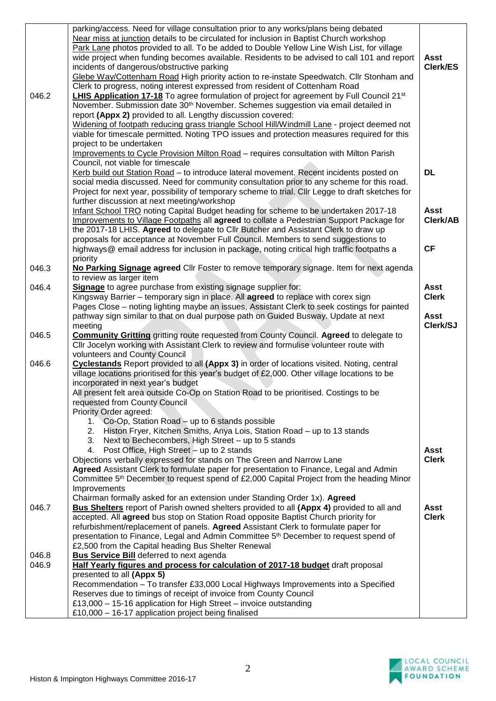| 046.2          | parking/access. Need for village consultation prior to any works/plans being debated<br>Near miss at junction details to be circulated for inclusion in Baptist Church workshop<br>Park Lane photos provided to all. To be added to Double Yellow Line Wish List, for village<br>wide project when funding becomes available. Residents to be advised to call 101 and report<br>incidents of dangerous/obstructive parking<br>Glebe Way/Cottenham Road High priority action to re-instate Speedwatch. Cllr Stonham and<br>Clerk to progress, noting interest expressed from resident of Cottenham Road<br>LHIS Application 17-18 To agree formulation of project for agreement by Full Council 21 <sup>st</sup> | <b>Asst</b><br>Clerk/ES |
|----------------|-----------------------------------------------------------------------------------------------------------------------------------------------------------------------------------------------------------------------------------------------------------------------------------------------------------------------------------------------------------------------------------------------------------------------------------------------------------------------------------------------------------------------------------------------------------------------------------------------------------------------------------------------------------------------------------------------------------------|-------------------------|
|                | November. Submission date 30 <sup>th</sup> November. Schemes suggestion via email detailed in<br>report (Appx 2) provided to all. Lengthy discussion covered:                                                                                                                                                                                                                                                                                                                                                                                                                                                                                                                                                   |                         |
|                | Widening of footpath reducing grass triangle School Hill/Windmill Lane - project deemed not                                                                                                                                                                                                                                                                                                                                                                                                                                                                                                                                                                                                                     |                         |
|                | viable for timescale permitted. Noting TPO issues and protection measures required for this                                                                                                                                                                                                                                                                                                                                                                                                                                                                                                                                                                                                                     |                         |
|                | project to be undertaken<br>Improvements to Cycle Provision Milton Road - requires consultation with Milton Parish                                                                                                                                                                                                                                                                                                                                                                                                                                                                                                                                                                                              |                         |
|                | Council, not viable for timescale                                                                                                                                                                                                                                                                                                                                                                                                                                                                                                                                                                                                                                                                               |                         |
|                | Kerb build out Station Road - to introduce lateral movement. Recent incidents posted on                                                                                                                                                                                                                                                                                                                                                                                                                                                                                                                                                                                                                         | <b>DL</b>               |
|                | social media discussed. Need for community consultation prior to any scheme for this road.<br>Project for next year, possibility of temporary scheme to trial. Cllr Legge to draft sketches for<br>further discussion at next meeting/workshop                                                                                                                                                                                                                                                                                                                                                                                                                                                                  |                         |
|                | Infant School TRO noting Capital Budget heading for scheme to be undertaken 2017-18                                                                                                                                                                                                                                                                                                                                                                                                                                                                                                                                                                                                                             | <b>Asst</b>             |
|                | Improvements to Village Footpaths all agreed to collate a Pedestrian Support Package for                                                                                                                                                                                                                                                                                                                                                                                                                                                                                                                                                                                                                        | Clerk/AB                |
|                | the 2017-18 LHIS. Agreed to delegate to Cllr Butcher and Assistant Clerk to draw up                                                                                                                                                                                                                                                                                                                                                                                                                                                                                                                                                                                                                             |                         |
|                | proposals for acceptance at November Full Council. Members to send suggestions to<br>highways@ email address for inclusion in package, noting critical high traffic footpaths a                                                                                                                                                                                                                                                                                                                                                                                                                                                                                                                                 | <b>CF</b>               |
|                | priority                                                                                                                                                                                                                                                                                                                                                                                                                                                                                                                                                                                                                                                                                                        |                         |
| 046.3          | No Parking Signage agreed Cllr Foster to remove temporary signage. Item for next agenda                                                                                                                                                                                                                                                                                                                                                                                                                                                                                                                                                                                                                         |                         |
| 046.4          | to review as larger item<br>Signage to agree purchase from existing signage supplier for:                                                                                                                                                                                                                                                                                                                                                                                                                                                                                                                                                                                                                       | <b>Asst</b>             |
|                | Kingsway Barrier - temporary sign in place. All agreed to replace with corex sign                                                                                                                                                                                                                                                                                                                                                                                                                                                                                                                                                                                                                               | <b>Clerk</b>            |
|                | Pages Close - noting lighting maybe an issues, Assistant Clerk to seek costings for painted                                                                                                                                                                                                                                                                                                                                                                                                                                                                                                                                                                                                                     |                         |
|                | pathway sign similar to that on dual purpose path on Guided Busway. Update at next<br>meeting                                                                                                                                                                                                                                                                                                                                                                                                                                                                                                                                                                                                                   | <b>Asst</b><br>Clerk/SJ |
| 046.5          | <b>Community Gritting gritting route requested from County Council. Agreed to delegate to</b>                                                                                                                                                                                                                                                                                                                                                                                                                                                                                                                                                                                                                   |                         |
|                | Cllr Jocelyn working with Assistant Clerk to review and formulise volunteer route with                                                                                                                                                                                                                                                                                                                                                                                                                                                                                                                                                                                                                          |                         |
| 046.6          | volunteers and County Council<br>Cyclestands Report provided to all (Appx 3) in order of locations visited. Noting, central                                                                                                                                                                                                                                                                                                                                                                                                                                                                                                                                                                                     |                         |
|                | village locations prioritised for this year's budget of £2,000. Other village locations to be                                                                                                                                                                                                                                                                                                                                                                                                                                                                                                                                                                                                                   |                         |
|                | incorporated in next year's budget                                                                                                                                                                                                                                                                                                                                                                                                                                                                                                                                                                                                                                                                              |                         |
|                | All present felt area outside Co-Op on Station Road to be prioritised. Costings to be<br>requested from County Council                                                                                                                                                                                                                                                                                                                                                                                                                                                                                                                                                                                          |                         |
|                | Priority Order agreed:                                                                                                                                                                                                                                                                                                                                                                                                                                                                                                                                                                                                                                                                                          |                         |
|                | 1. Co-Op, Station Road - up to 6 stands possible                                                                                                                                                                                                                                                                                                                                                                                                                                                                                                                                                                                                                                                                |                         |
|                | 2. Histon Fryer, Kitchen Smiths, Anya Lois, Station Road - up to 13 stands                                                                                                                                                                                                                                                                                                                                                                                                                                                                                                                                                                                                                                      |                         |
|                | 3. Next to Bechecombers, High Street - up to 5 stands<br>4. Post Office, High Street - up to 2 stands                                                                                                                                                                                                                                                                                                                                                                                                                                                                                                                                                                                                           | <b>Asst</b>             |
|                | Objections verbally expressed for stands on The Green and Narrow Lane                                                                                                                                                                                                                                                                                                                                                                                                                                                                                                                                                                                                                                           | <b>Clerk</b>            |
|                | Agreed Assistant Clerk to formulate paper for presentation to Finance, Legal and Admin                                                                                                                                                                                                                                                                                                                                                                                                                                                                                                                                                                                                                          |                         |
|                | Committee 5 <sup>th</sup> December to request spend of £2,000 Capital Project from the heading Minor<br>Improvements                                                                                                                                                                                                                                                                                                                                                                                                                                                                                                                                                                                            |                         |
|                | Chairman formally asked for an extension under Standing Order 1x). Agreed                                                                                                                                                                                                                                                                                                                                                                                                                                                                                                                                                                                                                                       |                         |
| 046.7          | <b>Bus Shelters</b> report of Parish owned shelters provided to all (Appx 4) provided to all and                                                                                                                                                                                                                                                                                                                                                                                                                                                                                                                                                                                                                | Asst                    |
|                | accepted. All agreed bus stop on Station Road opposite Baptist Church priority for<br>refurbishment/replacement of panels. Agreed Assistant Clerk to formulate paper for                                                                                                                                                                                                                                                                                                                                                                                                                                                                                                                                        | <b>Clerk</b>            |
|                | presentation to Finance, Legal and Admin Committee 5 <sup>th</sup> December to request spend of                                                                                                                                                                                                                                                                                                                                                                                                                                                                                                                                                                                                                 |                         |
|                | £2,500 from the Capital heading Bus Shelter Renewal                                                                                                                                                                                                                                                                                                                                                                                                                                                                                                                                                                                                                                                             |                         |
| 046.8<br>046.9 | <b>Bus Service Bill</b> deferred to next agenda<br>Half Yearly figures and process for calculation of 2017-18 budget draft proposal                                                                                                                                                                                                                                                                                                                                                                                                                                                                                                                                                                             |                         |
|                | presented to all (Appx 5)                                                                                                                                                                                                                                                                                                                                                                                                                                                                                                                                                                                                                                                                                       |                         |
|                | Recommendation - To transfer £33,000 Local Highways Improvements into a Specified                                                                                                                                                                                                                                                                                                                                                                                                                                                                                                                                                                                                                               |                         |
|                | Reserves due to timings of receipt of invoice from County Council<br>£13,000 - 15-16 application for High Street - invoice outstanding                                                                                                                                                                                                                                                                                                                                                                                                                                                                                                                                                                          |                         |
|                | £10,000 - 16-17 application project being finalised                                                                                                                                                                                                                                                                                                                                                                                                                                                                                                                                                                                                                                                             |                         |